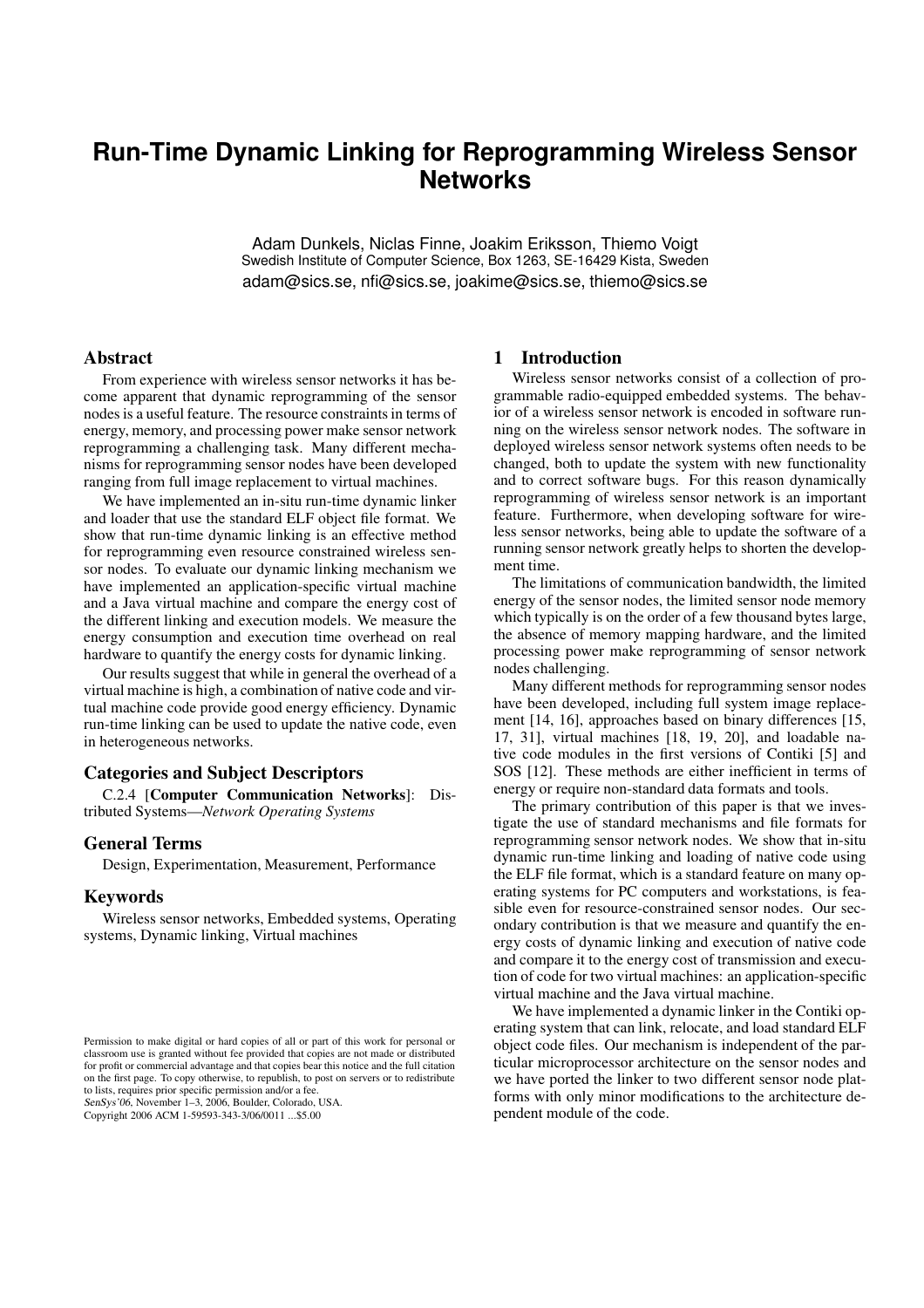# **Run-Time Dynamic Linking for Reprogramming Wireless Sensor Networks**

Adam Dunkels, Niclas Finne, Joakim Eriksson, Thiemo Voigt Swedish Institute of Computer Science, Box 1263, SE-16429 Kista, Sweden adam@sics.se, nfi@sics.se, joakime@sics.se, thiemo@sics.se

## **Abstract**

From experience with wireless sensor networks it has become apparent that dynamic reprogramming of the sensor nodes is a useful feature. The resource constraints in terms of energy, memory, and processing power make sensor network reprogramming a challenging task. Many different mechanisms for reprogramming sensor nodes have been developed ranging from full image replacement to virtual machines.

We have implemented an in-situ run-time dynamic linker and loader that use the standard ELF object file format. We show that run-time dynamic linking is an effective method for reprogramming even resource constrained wireless sensor nodes. To evaluate our dynamic linking mechanism we have implemented an application-specific virtual machine and a Java virtual machine and compare the energy cost of the different linking and execution models. We measure the energy consumption and execution time overhead on real hardware to quantify the energy costs for dynamic linking.

Our results suggest that while in general the overhead of a virtual machine is high, a combination of native code and virtual machine code provide good energy efficiency. Dynamic run-time linking can be used to update the native code, even in heterogeneous networks.

# **Categories and Subject Descriptors**

C.2.4 [**Computer Communication Networks**]: Distributed Systems—*Network Operating Systems*

# **General Terms**

Design, Experimentation, Measurement, Performance

### **Keywords**

Wireless sensor networks, Embedded systems, Operating systems, Dynamic linking, Virtual machines

Copyright 2006 ACM 1-59593-343-3/06/0011 ...\$5.00

#### **1 Introduction**

Wireless sensor networks consist of a collection of programmable radio-equipped embedded systems. The behavior of a wireless sensor network is encoded in software running on the wireless sensor network nodes. The software in deployed wireless sensor network systems often needs to be changed, both to update the system with new functionality and to correct software bugs. For this reason dynamically reprogramming of wireless sensor network is an important feature. Furthermore, when developing software for wireless sensor networks, being able to update the software of a running sensor network greatly helps to shorten the development time.

The limitations of communication bandwidth, the limited energy of the sensor nodes, the limited sensor node memory which typically is on the order of a few thousand bytes large, the absence of memory mapping hardware, and the limited processing power make reprogramming of sensor network nodes challenging.

Many different methods for reprogramming sensor nodes have been developed, including full system image replacement [14, 16], approaches based on binary differences [15, 17, 31], virtual machines [18, 19, 20], and loadable native code modules in the first versions of Contiki [5] and SOS [12]. These methods are either inefficient in terms of energy or require non-standard data formats and tools.

The primary contribution of this paper is that we investigate the use of standard mechanisms and file formats for reprogramming sensor network nodes. We show that in-situ dynamic run-time linking and loading of native code using the ELF file format, which is a standard feature on many operating systems for PC computers and workstations, is feasible even for resource-constrained sensor nodes. Our secondary contribution is that we measure and quantify the energy costs of dynamic linking and execution of native code and compare it to the energy cost of transmission and execution of code for two virtual machines: an application-specific virtual machine and the Java virtual machine.

We have implemented a dynamic linker in the Contiki operating system that can link, relocate, and load standard ELF object code files. Our mechanism is independent of the particular microprocessor architecture on the sensor nodes and we have ported the linker to two different sensor node platforms with only minor modifications to the architecture dependent module of the code.

Permission to make digital or hard copies of all or part of this work for personal or classroom use is granted without fee provided that copies are not made or distributed for profit or commercial advantage and that copies bear this notice and the full citation on the first page. To copy otherwise, to republish, to post on servers or to redistribute to lists, requires prior specific permission and/or a fee. SenSys'06, November 1–3, 2006, Boulder, Colorado, USA.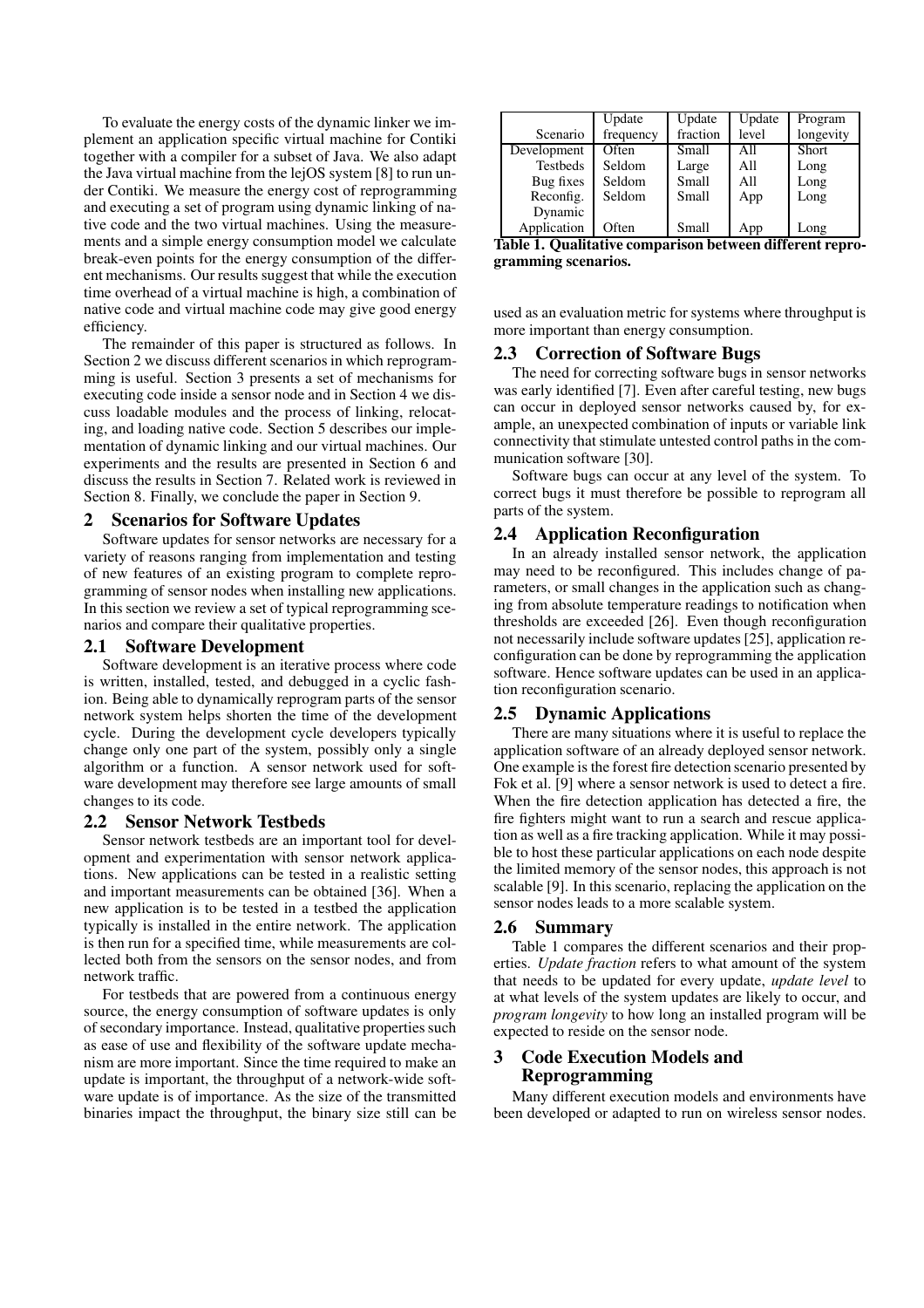To evaluate the energy costs of the dynamic linker we implement an application specific virtual machine for Contiki together with a compiler for a subset of Java. We also adapt the Java virtual machine from the lejOS system [8] to run under Contiki. We measure the energy cost of reprogramming and executing a set of program using dynamic linking of native code and the two virtual machines. Using the measurements and a simple energy consumption model we calculate break-even points for the energy consumption of the different mechanisms. Our results suggest that while the execution time overhead of a virtual machine is high, a combination of native code and virtual machine code may give good energy efficiency.

The remainder of this paper is structured as follows. In Section 2 we discuss different scenarios in which reprogramming is useful. Section 3 presents a set of mechanisms for executing code inside a sensor node and in Section 4 we discuss loadable modules and the process of linking, relocating, and loading native code. Section 5 describes our implementation of dynamic linking and our virtual machines. Our experiments and the results are presented in Section 6 and discuss the results in Section 7. Related work is reviewed in Section 8. Finally, we conclude the paper in Section 9.

## **2 Scenarios for Software Updates**

Software updates for sensor networks are necessary for a variety of reasons ranging from implementation and testing of new features of an existing program to complete reprogramming of sensor nodes when installing new applications. In this section we review a set of typical reprogramming scenarios and compare their qualitative properties.

## **2.1 Software Development**

Software development is an iterative process where code is written, installed, tested, and debugged in a cyclic fashion. Being able to dynamically reprogram parts of the sensor network system helps shorten the time of the development cycle. During the development cycle developers typically change only one part of the system, possibly only a single algorithm or a function. A sensor network used for software development may therefore see large amounts of small changes to its code.

# **2.2 Sensor Network Testbeds**

Sensor network testbeds are an important tool for development and experimentation with sensor network applications. New applications can be tested in a realistic setting and important measurements can be obtained [36]. When a new application is to be tested in a testbed the application typically is installed in the entire network. The application is then run for a specified time, while measurements are collected both from the sensors on the sensor nodes, and from network traffic.

For testbeds that are powered from a continuous energy source, the energy consumption of software updates is only of secondary importance. Instead, qualitative properties such as ease of use and flexibility of the software update mechanism are more important. Since the time required to make an update is important, the throughput of a network-wide software update is of importance. As the size of the transmitted binaries impact the throughput, the binary size still can be

|                                                           | Update    | Update   | Update | Program   |
|-----------------------------------------------------------|-----------|----------|--------|-----------|
| Scenario                                                  | frequency | fraction | level  | longevity |
| Development                                               | Often     | Small    | All    | Short     |
| Testbeds                                                  | Seldom    | Large    | All    | Long      |
| Bug fixes                                                 | Seldom    | Small    | All    | Long      |
| Reconfig.                                                 | Seldom    | Small    | App    | Long      |
| Dynamic                                                   |           |          |        |           |
| Application                                               | Often     | Small    | App    | Long      |
| Qualitative companison between different reaso<br>r⊾hl∧ 1 |           |          |        |           |

**Table 1. Qualitative comparison between different reprogramming scenarios.**

used as an evaluation metric for systems where throughput is more important than energy consumption.

# **2.3 Correction of Software Bugs**

The need for correcting software bugs in sensor networks was early identified [7]. Even after careful testing, new bugs can occur in deployed sensor networks caused by, for example, an unexpected combination of inputs or variable link connectivity that stimulate untested control paths in the communication software [30].

Software bugs can occur at any level of the system. To correct bugs it must therefore be possible to reprogram all parts of the system.

# **2.4 Application Reconfiguration**

In an already installed sensor network, the application may need to be reconfigured. This includes change of parameters, or small changes in the application such as changing from absolute temperature readings to notification when thresholds are exceeded [26]. Even though reconfiguration not necessarily include software updates [25], application reconfiguration can be done by reprogramming the application software. Hence software updates can be used in an application reconfiguration scenario.

# **2.5 Dynamic Applications**

There are many situations where it is useful to replace the application software of an already deployed sensor network. One example is the forest fire detection scenario presented by Fok et al. [9] where a sensor network is used to detect a fire. When the fire detection application has detected a fire, the fire fighters might want to run a search and rescue application as well as a fire tracking application. While it may possible to host these particular applications on each node despite the limited memory of the sensor nodes, this approach is not scalable [9]. In this scenario, replacing the application on the sensor nodes leads to a more scalable system.

# **2.6 Summary**

Table 1 compares the different scenarios and their properties. *Update fraction* refers to what amount of the system that needs to be updated for every update, *update level* to at what levels of the system updates are likely to occur, and *program longevity* to how long an installed program will be expected to reside on the sensor node.

# **3 Code Execution Models and Reprogramming**

Many different execution models and environments have been developed or adapted to run on wireless sensor nodes.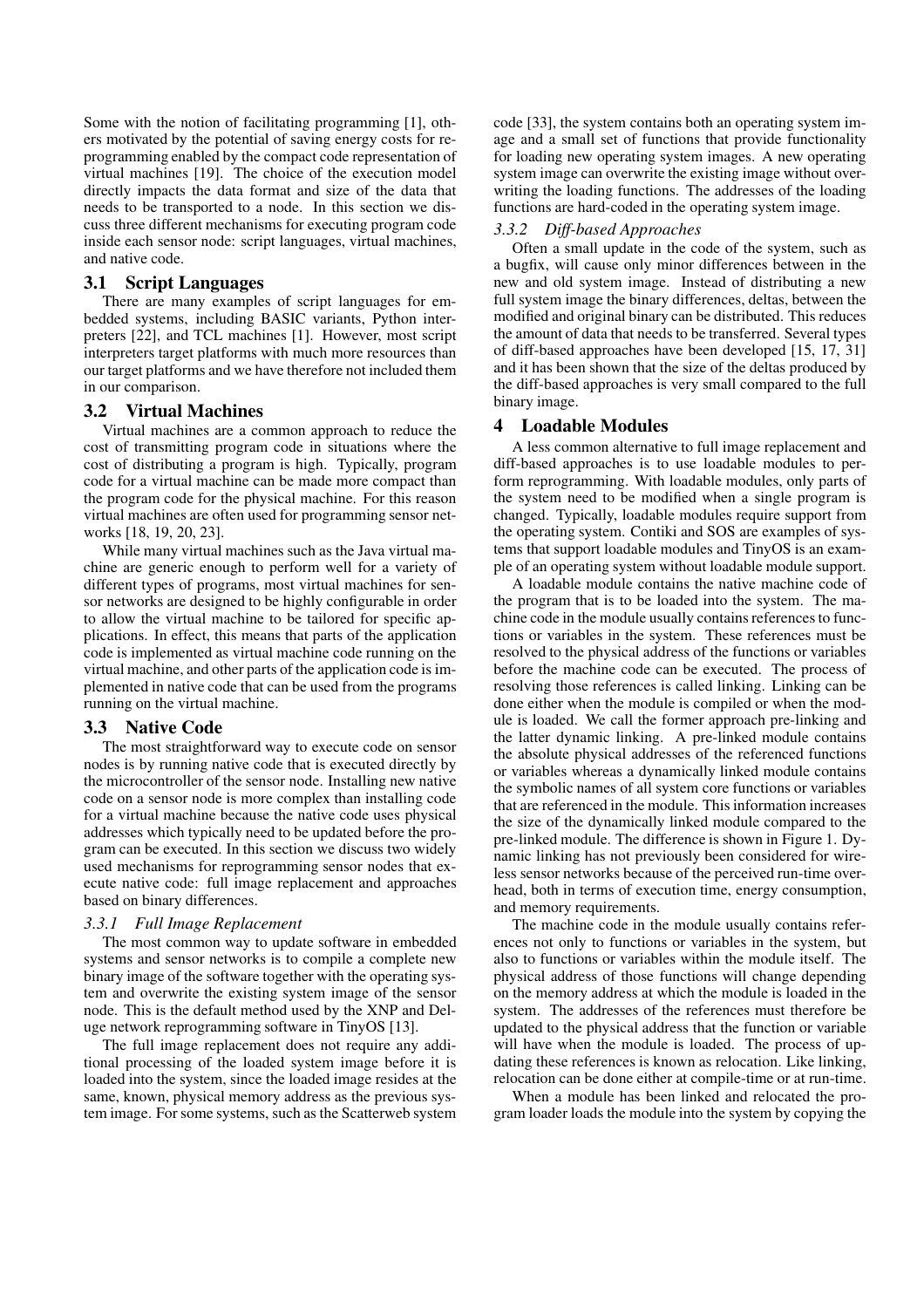Some with the notion of facilitating programming [1], others motivated by the potential of saving energy costs for reprogramming enabled by the compact code representation of virtual machines [19]. The choice of the execution model directly impacts the data format and size of the data that needs to be transported to a node. In this section we discuss three different mechanisms for executing program code inside each sensor node: script languages, virtual machines, and native code.

# **3.1 Script Languages**

There are many examples of script languages for embedded systems, including BASIC variants, Python interpreters [22], and TCL machines [1]. However, most script interpreters target platforms with much more resources than our target platforms and we have therefore not included them in our comparison.

## **3.2 Virtual Machines**

Virtual machines are a common approach to reduce the cost of transmitting program code in situations where the cost of distributing a program is high. Typically, program code for a virtual machine can be made more compact than the program code for the physical machine. For this reason virtual machines are often used for programming sensor networks [18, 19, 20, 23].

While many virtual machines such as the Java virtual machine are generic enough to perform well for a variety of different types of programs, most virtual machines for sensor networks are designed to be highly configurable in order to allow the virtual machine to be tailored for specific applications. In effect, this means that parts of the application code is implemented as virtual machine code running on the virtual machine, and other parts of the application code is implemented in native code that can be used from the programs running on the virtual machine.

### **3.3 Native Code**

The most straightforward way to execute code on sensor nodes is by running native code that is executed directly by the microcontroller of the sensor node. Installing new native code on a sensor node is more complex than installing code for a virtual machine because the native code uses physical addresses which typically need to be updated before the program can be executed. In this section we discuss two widely used mechanisms for reprogramming sensor nodes that execute native code: full image replacement and approaches based on binary differences.

#### *3.3.1 Full Image Replacement*

The most common way to update software in embedded systems and sensor networks is to compile a complete new binary image of the software together with the operating system and overwrite the existing system image of the sensor node. This is the default method used by the XNP and Deluge network reprogramming software in TinyOS [13].

The full image replacement does not require any additional processing of the loaded system image before it is loaded into the system, since the loaded image resides at the same, known, physical memory address as the previous system image. For some systems, such as the Scatterweb system

code [33], the system contains both an operating system image and a small set of functions that provide functionality for loading new operating system images. A new operating system image can overwrite the existing image without overwriting the loading functions. The addresses of the loading functions are hard-coded in the operating system image.

#### *3.3.2 Diff-based Approaches*

Often a small update in the code of the system, such as a bugfix, will cause only minor differences between in the new and old system image. Instead of distributing a new full system image the binary differences, deltas, between the modified and original binary can be distributed. This reduces the amount of data that needs to be transferred. Several types of diff-based approaches have been developed [15, 17, 31] and it has been shown that the size of the deltas produced by the diff-based approaches is very small compared to the full binary image.

### **4 Loadable Modules**

A less common alternative to full image replacement and diff-based approaches is to use loadable modules to perform reprogramming. With loadable modules, only parts of the system need to be modified when a single program is changed. Typically, loadable modules require support from the operating system. Contiki and SOS are examples of systems that support loadable modules and TinyOS is an example of an operating system without loadable module support.

A loadable module contains the native machine code of the program that is to be loaded into the system. The machine code in the module usually contains references to functions or variables in the system. These references must be resolved to the physical address of the functions or variables before the machine code can be executed. The process of resolving those references is called linking. Linking can be done either when the module is compiled or when the module is loaded. We call the former approach pre-linking and the latter dynamic linking. A pre-linked module contains the absolute physical addresses of the referenced functions or variables whereas a dynamically linked module contains the symbolic names of all system core functions or variables that are referenced in the module. This information increases the size of the dynamically linked module compared to the pre-linked module. The difference is shown in Figure 1. Dynamic linking has not previously been considered for wireless sensor networks because of the perceived run-time overhead, both in terms of execution time, energy consumption, and memory requirements.

The machine code in the module usually contains references not only to functions or variables in the system, but also to functions or variables within the module itself. The physical address of those functions will change depending on the memory address at which the module is loaded in the system. The addresses of the references must therefore be updated to the physical address that the function or variable will have when the module is loaded. The process of updating these references is known as relocation. Like linking, relocation can be done either at compile-time or at run-time.

When a module has been linked and relocated the program loader loads the module into the system by copying the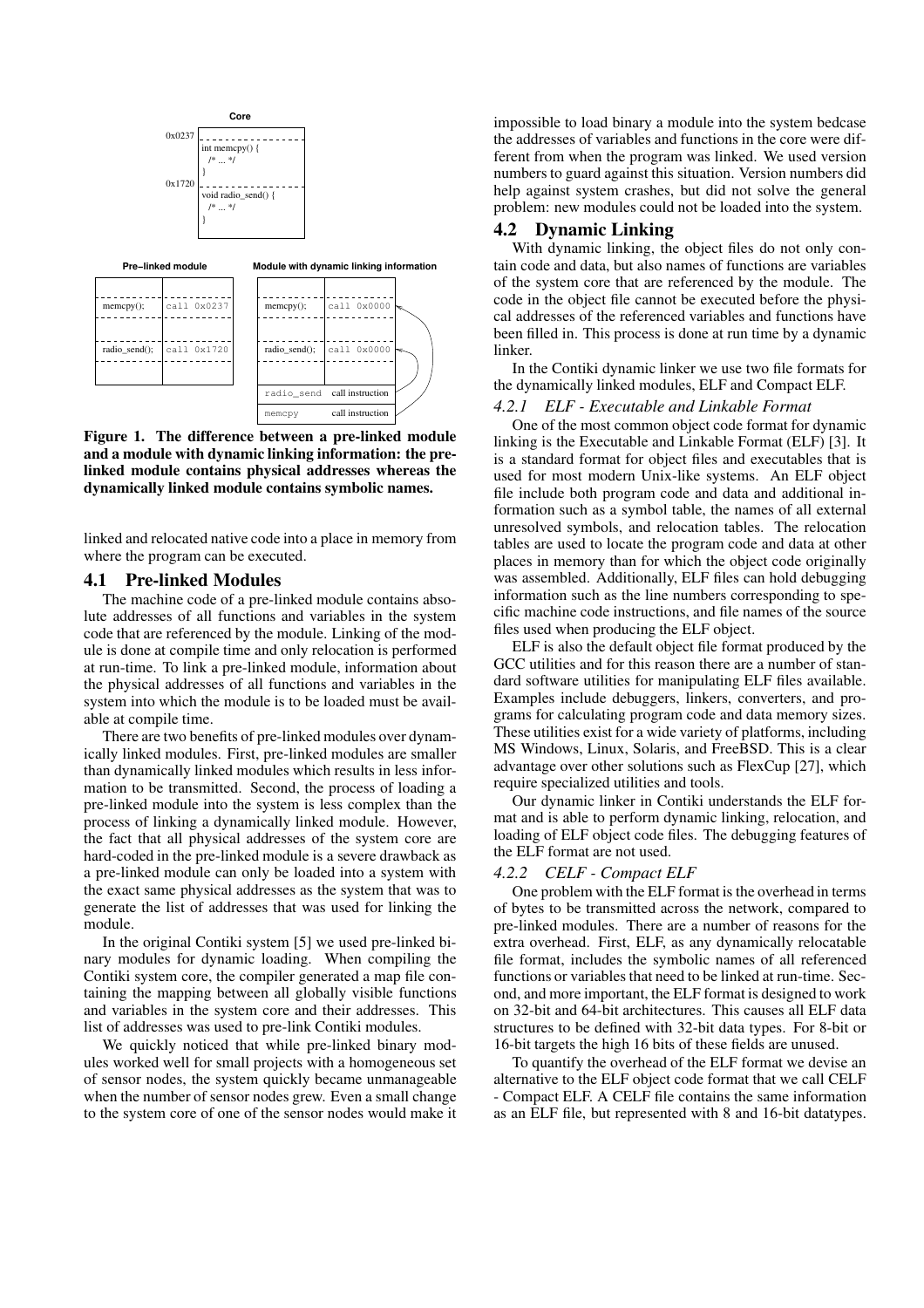

**Figure 1. The difference between a pre-linked module and a module with dynamic linking information: the prelinked module contains physical addresses whereas the dynamically linked module contains symbolic names.**

linked and relocated native code into a place in memory from where the program can be executed.

# **4.1 Pre-linked Modules**

The machine code of a pre-linked module contains absolute addresses of all functions and variables in the system code that are referenced by the module. Linking of the module is done at compile time and only relocation is performed at run-time. To link a pre-linked module, information about the physical addresses of all functions and variables in the system into which the module is to be loaded must be available at compile time.

There are two benefits of pre-linked modules over dynamically linked modules. First, pre-linked modules are smaller than dynamically linked modules which results in less information to be transmitted. Second, the process of loading a pre-linked module into the system is less complex than the process of linking a dynamically linked module. However, the fact that all physical addresses of the system core are hard-coded in the pre-linked module is a severe drawback as a pre-linked module can only be loaded into a system with the exact same physical addresses as the system that was to generate the list of addresses that was used for linking the module.

In the original Contiki system [5] we used pre-linked binary modules for dynamic loading. When compiling the Contiki system core, the compiler generated a map file containing the mapping between all globally visible functions and variables in the system core and their addresses. This list of addresses was used to pre-link Contiki modules.

We quickly noticed that while pre-linked binary modules worked well for small projects with a homogeneous set of sensor nodes, the system quickly became unmanageable when the number of sensor nodes grew. Even a small change to the system core of one of the sensor nodes would make it impossible to load binary a module into the system bedcase the addresses of variables and functions in the core were different from when the program was linked. We used version numbers to guard against this situation. Version numbers did help against system crashes, but did not solve the general problem: new modules could not be loaded into the system.

## **4.2 Dynamic Linking**

With dynamic linking, the object files do not only contain code and data, but also names of functions are variables of the system core that are referenced by the module. The code in the object file cannot be executed before the physical addresses of the referenced variables and functions have been filled in. This process is done at run time by a dynamic linker.

In the Contiki dynamic linker we use two file formats for the dynamically linked modules, ELF and Compact ELF.

#### *4.2.1 ELF - Executable and Linkable Format*

One of the most common object code format for dynamic linking is the Executable and Linkable Format (ELF) [3]. It is a standard format for object files and executables that is used for most modern Unix-like systems. An ELF object file include both program code and data and additional information such as a symbol table, the names of all external unresolved symbols, and relocation tables. The relocation tables are used to locate the program code and data at other places in memory than for which the object code originally was assembled. Additionally, ELF files can hold debugging information such as the line numbers corresponding to specific machine code instructions, and file names of the source files used when producing the ELF object.

ELF is also the default object file format produced by the GCC utilities and for this reason there are a number of standard software utilities for manipulating ELF files available. Examples include debuggers, linkers, converters, and programs for calculating program code and data memory sizes. These utilities exist for a wide variety of platforms, including MS Windows, Linux, Solaris, and FreeBSD. This is a clear advantage over other solutions such as FlexCup [27], which require specialized utilities and tools.

Our dynamic linker in Contiki understands the ELF format and is able to perform dynamic linking, relocation, and loading of ELF object code files. The debugging features of the ELF format are not used.

## *4.2.2 CELF - Compact ELF*

One problem with the ELF format is the overhead in terms of bytes to be transmitted across the network, compared to pre-linked modules. There are a number of reasons for the extra overhead. First, ELF, as any dynamically relocatable file format, includes the symbolic names of all referenced functions or variables that need to be linked at run-time. Second, and more important, the ELF format is designed to work on 32-bit and 64-bit architectures. This causes all ELF data structures to be defined with 32-bit data types. For 8-bit or 16-bit targets the high 16 bits of these fields are unused.

To quantify the overhead of the ELF format we devise an alternative to the ELF object code format that we call CELF - Compact ELF. A CELF file contains the same information as an ELF file, but represented with 8 and 16-bit datatypes.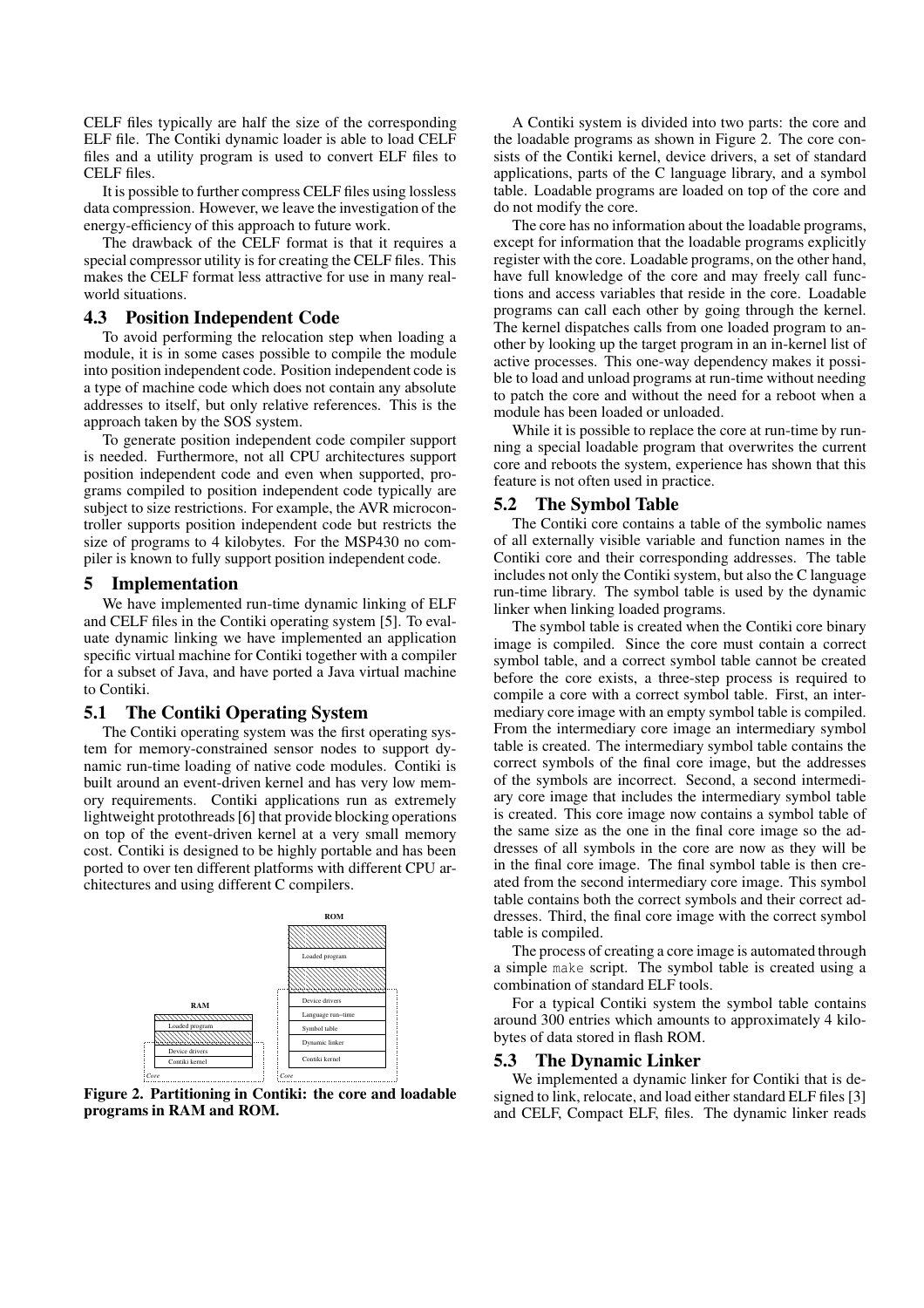CELF files typically are half the size of the corresponding ELF file. The Contiki dynamic loader is able to load CELF files and a utility program is used to convert ELF files to CELF files.

It is possible to further compress CELF files using lossless data compression. However, we leave the investigation of the energy-efficiency of this approach to future work.

The drawback of the CELF format is that it requires a special compressor utility is for creating the CELF files. This makes the CELF format less attractive for use in many realworld situations.

## **4.3 Position Independent Code**

To avoid performing the relocation step when loading a module, it is in some cases possible to compile the module into position independent code. Position independent code is a type of machine code which does not contain any absolute addresses to itself, but only relative references. This is the approach taken by the SOS system.

To generate position independent code compiler support is needed. Furthermore, not all CPU architectures support position independent code and even when supported, programs compiled to position independent code typically are subject to size restrictions. For example, the AVR microcontroller supports position independent code but restricts the size of programs to 4 kilobytes. For the MSP430 no compiler is known to fully support position independent code.

#### **5 Implementation**

We have implemented run-time dynamic linking of ELF and CELF files in the Contiki operating system [5]. To evaluate dynamic linking we have implemented an application specific virtual machine for Contiki together with a compiler for a subset of Java, and have ported a Java virtual machine to Contiki.

#### **5.1 The Contiki Operating System**

The Contiki operating system was the first operating system for memory-constrained sensor nodes to support dynamic run-time loading of native code modules. Contiki is built around an event-driven kernel and has very low memory requirements. Contiki applications run as extremely lightweight protothreads[6] that provide blocking operations on top of the event-driven kernel at a very small memory cost. Contiki is designed to be highly portable and has been ported to over ten different platforms with different CPU architectures and using different C compilers.



**Figure 2. Partitioning in Contiki: the core and loadable programs in RAM and ROM.**

A Contiki system is divided into two parts: the core and the loadable programs as shown in Figure 2. The core consists of the Contiki kernel, device drivers, a set of standard applications, parts of the C language library, and a symbol table. Loadable programs are loaded on top of the core and do not modify the core.

The core has no information about the loadable programs, except for information that the loadable programs explicitly register with the core. Loadable programs, on the other hand, have full knowledge of the core and may freely call functions and access variables that reside in the core. Loadable programs can call each other by going through the kernel. The kernel dispatches calls from one loaded program to another by looking up the target program in an in-kernel list of active processes. This one-way dependency makes it possible to load and unload programs at run-time without needing to patch the core and without the need for a reboot when a module has been loaded or unloaded.

While it is possible to replace the core at run-time by running a special loadable program that overwrites the current core and reboots the system, experience has shown that this feature is not often used in practice.

#### **5.2 The Symbol Table**

The Contiki core contains a table of the symbolic names of all externally visible variable and function names in the Contiki core and their corresponding addresses. The table includes not only the Contiki system, but also the C language run-time library. The symbol table is used by the dynamic linker when linking loaded programs.

The symbol table is created when the Contiki core binary image is compiled. Since the core must contain a correct symbol table, and a correct symbol table cannot be created before the core exists, a three-step process is required to compile a core with a correct symbol table. First, an intermediary core image with an empty symbol table is compiled. From the intermediary core image an intermediary symbol table is created. The intermediary symbol table contains the correct symbols of the final core image, but the addresses of the symbols are incorrect. Second, a second intermediary core image that includes the intermediary symbol table is created. This core image now contains a symbol table of the same size as the one in the final core image so the addresses of all symbols in the core are now as they will be in the final core image. The final symbol table is then created from the second intermediary core image. This symbol table contains both the correct symbols and their correct addresses. Third, the final core image with the correct symbol table is compiled.

The process of creating a core image is automated through a simple make script. The symbol table is created using a combination of standard ELF tools.

For a typical Contiki system the symbol table contains around 300 entries which amounts to approximately 4 kilobytes of data stored in flash ROM.

## **5.3 The Dynamic Linker**

We implemented a dynamic linker for Contiki that is designed to link, relocate, and load either standard ELF files [3] and CELF, Compact ELF, files. The dynamic linker reads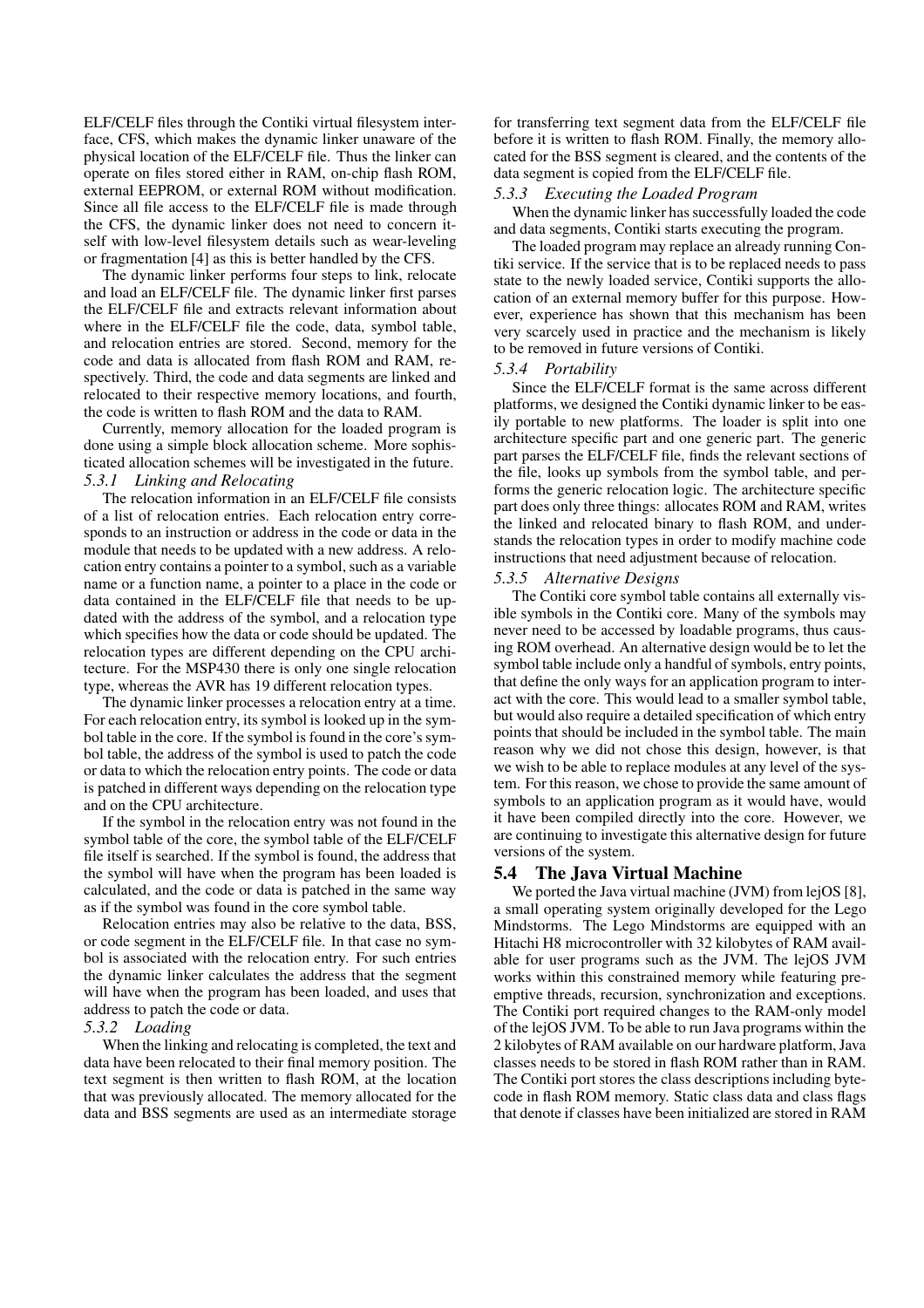ELF/CELF files through the Contiki virtual filesystem interface, CFS, which makes the dynamic linker unaware of the physical location of the ELF/CELF file. Thus the linker can operate on files stored either in RAM, on-chip flash ROM, external EEPROM, or external ROM without modification. Since all file access to the ELF/CELF file is made through the CFS, the dynamic linker does not need to concern itself with low-level filesystem details such as wear-leveling or fragmentation [4] as this is better handled by the CFS.

The dynamic linker performs four steps to link, relocate and load an ELF/CELF file. The dynamic linker first parses the ELF/CELF file and extracts relevant information about where in the ELF/CELF file the code, data, symbol table, and relocation entries are stored. Second, memory for the code and data is allocated from flash ROM and RAM, respectively. Third, the code and data segments are linked and relocated to their respective memory locations, and fourth, the code is written to flash ROM and the data to RAM.

Currently, memory allocation for the loaded program is done using a simple block allocation scheme. More sophisticated allocation schemes will be investigated in the future. *5.3.1 Linking and Relocating*

The relocation information in an ELF/CELF file consists of a list of relocation entries. Each relocation entry corresponds to an instruction or address in the code or data in the module that needs to be updated with a new address. A relocation entry contains a pointer to a symbol, such as a variable name or a function name, a pointer to a place in the code or data contained in the ELF/CELF file that needs to be updated with the address of the symbol, and a relocation type which specifies how the data or code should be updated. The relocation types are different depending on the CPU architecture. For the MSP430 there is only one single relocation type, whereas the AVR has 19 different relocation types.

The dynamic linker processes a relocation entry at a time. For each relocation entry, its symbol is looked up in the symbol table in the core. If the symbol is found in the core's symbol table, the address of the symbol is used to patch the code or data to which the relocation entry points. The code or data is patched in different ways depending on the relocation type and on the CPU architecture.

If the symbol in the relocation entry was not found in the symbol table of the core, the symbol table of the ELF/CELF file itself is searched. If the symbol is found, the address that the symbol will have when the program has been loaded is calculated, and the code or data is patched in the same way as if the symbol was found in the core symbol table.

Relocation entries may also be relative to the data, BSS, or code segment in the ELF/CELF file. In that case no symbol is associated with the relocation entry. For such entries the dynamic linker calculates the address that the segment will have when the program has been loaded, and uses that address to patch the code or data.

#### *5.3.2 Loading*

When the linking and relocating is completed, the text and data have been relocated to their final memory position. The text segment is then written to flash ROM, at the location that was previously allocated. The memory allocated for the data and BSS segments are used as an intermediate storage for transferring text segment data from the ELF/CELF file before it is written to flash ROM. Finally, the memory allocated for the BSS segment is cleared, and the contents of the data segment is copied from the ELF/CELF file.

#### *5.3.3 Executing the Loaded Program*

When the dynamic linker has successfully loaded the code and data segments, Contiki starts executing the program.

The loaded program may replace an already running Contiki service. If the service that is to be replaced needs to pass state to the newly loaded service, Contiki supports the allocation of an external memory buffer for this purpose. However, experience has shown that this mechanism has been very scarcely used in practice and the mechanism is likely to be removed in future versions of Contiki.

#### *5.3.4 Portability*

Since the ELF/CELF format is the same across different platforms, we designed the Contiki dynamic linker to be easily portable to new platforms. The loader is split into one architecture specific part and one generic part. The generic part parses the ELF/CELF file, finds the relevant sections of the file, looks up symbols from the symbol table, and performs the generic relocation logic. The architecture specific part does only three things: allocates ROM and RAM, writes the linked and relocated binary to flash ROM, and understands the relocation types in order to modify machine code instructions that need adjustment because of relocation.

#### *5.3.5 Alternative Designs*

The Contiki core symbol table contains all externally visible symbols in the Contiki core. Many of the symbols may never need to be accessed by loadable programs, thus causing ROM overhead. An alternative design would be to let the symbol table include only a handful of symbols, entry points, that define the only ways for an application program to interact with the core. This would lead to a smaller symbol table, but would also require a detailed specification of which entry points that should be included in the symbol table. The main reason why we did not chose this design, however, is that we wish to be able to replace modules at any level of the system. For this reason, we chose to provide the same amount of symbols to an application program as it would have, would it have been compiled directly into the core. However, we are continuing to investigate this alternative design for future versions of the system.

### **5.4 The Java Virtual Machine**

We ported the Java virtual machine (JVM) from lejOS [8], a small operating system originally developed for the Lego Mindstorms. The Lego Mindstorms are equipped with an Hitachi H8 microcontroller with 32 kilobytes of RAM available for user programs such as the JVM. The lejOS JVM works within this constrained memory while featuring preemptive threads, recursion, synchronization and exceptions. The Contiki port required changes to the RAM-only model of the lejOS JVM. To be able to run Java programs within the 2 kilobytes of RAM available on our hardware platform,Java classes needs to be stored in flash ROM rather than in RAM. The Contiki port stores the class descriptions including bytecode in flash ROM memory. Static class data and class flags that denote if classes have been initialized are stored in RAM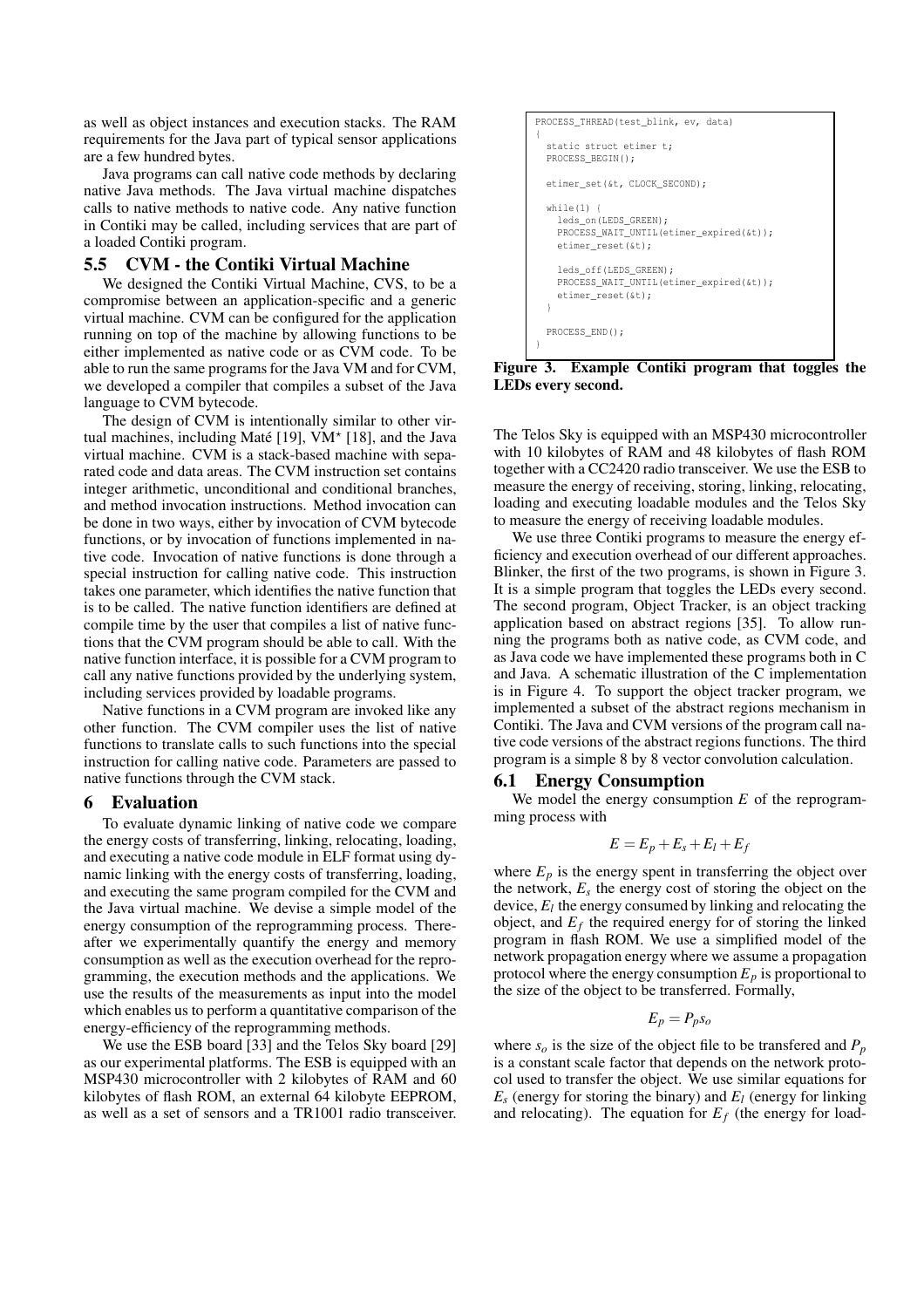as well as object instances and execution stacks. The RAM requirements for the Java part of typical sensor applications are a few hundred bytes.

Java programs can call native code methods by declaring native Java methods. The Java virtual machine dispatches calls to native methods to native code. Any native function in Contiki may be called, including services that are part of a loaded Contiki program.

#### **5.5 CVM - the Contiki Virtual Machine**

We designed the Contiki Virtual Machine, CVS, to be a compromise between an application-specific and a generic virtual machine. CVM can be configured for the application running on top of the machine by allowing functions to be either implemented as native code or as CVM code. To be able to run the same programs for the Java VM and for CVM, we developed a compiler that compiles a subset of the Java language to CVM bytecode.

The design of CVM is intentionally similar to other virtual machines, including Maté  $[19]$ , VM $*$  [18], and the Java virtual machine. CVM is a stack-based machine with separated code and data areas. The CVM instruction set contains integer arithmetic, unconditional and conditional branches, and method invocation instructions. Method invocation can be done in two ways, either by invocation of CVM bytecode functions, or by invocation of functions implemented in native code. Invocation of native functions is done through a special instruction for calling native code. This instruction takes one parameter, which identifies the native function that is to be called. The native function identifiers are defined at compile time by the user that compiles a list of native functions that the CVM program should be able to call. With the native function interface, it is possible for a CVM program to call any native functions provided by the underlying system, including services provided by loadable programs.

Native functions in a CVM program are invoked like any other function. The CVM compiler uses the list of native functions to translate calls to such functions into the special instruction for calling native code. Parameters are passed to native functions through the CVM stack.

#### **6 Evaluation**

To evaluate dynamic linking of native code we compare the energy costs of transferring, linking, relocating, loading, and executing a native code module in ELF format using dynamic linking with the energy costs of transferring, loading, and executing the same program compiled for the CVM and the Java virtual machine. We devise a simple model of the energy consumption of the reprogramming process. Thereafter we experimentally quantify the energy and memory consumption as well as the execution overhead for the reprogramming, the execution methods and the applications. We use the results of the measurements as input into the model which enables us to perform a quantitative comparison of the energy-efficiency of the reprogramming methods.

We use the ESB board [33] and the Telos Sky board [29] as our experimental platforms. The ESB is equipped with an MSP430 microcontroller with 2 kilobytes of RAM and 60 kilobytes of flash ROM, an external 64 kilobyte EEPROM, as well as a set of sensors and a TR1001 radio transceiver.

```
PROCESS_THREAD(test_blink, ev, data)
{
 static struct etimer t;
 PROCESS_BEGIN():
 etimer_set(&t, CLOCK_SECOND);
  while(1)leds_on(LEDS_GREEN);
   PROCESS_WAIT_UNTIL(etimer_expired(&t));
   etimer_reset(&t);
    leds_off(LEDS_GREEN);
   PROCESS_WAIT_UNTIL(etimer_expired(&t));
   etimer_reset(&t);
  }
 PROCESS_END();
}
```
**Figure 3. Example Contiki program that toggles the LEDs every second.**

The Telos Sky is equipped with an MSP430 microcontroller with 10 kilobytes of RAM and 48 kilobytes of flash ROM together with a CC2420 radio transceiver. We use the ESB to measure the energy of receiving, storing, linking, relocating, loading and executing loadable modules and the Telos Sky to measure the energy of receiving loadable modules.

We use three Contiki programs to measure the energy efficiency and execution overhead of our different approaches. Blinker, the first of the two programs, is shown in Figure 3. It is a simple program that toggles the LEDs every second. The second program, Object Tracker, is an object tracking application based on abstract regions [35]. To allow running the programs both as native code, as CVM code, and as Java code we have implemented these programs both in C and Java. A schematic illustration of the C implementation is in Figure 4. To support the object tracker program, we implemented a subset of the abstract regions mechanism in Contiki. The Java and CVM versions of the program call native code versions of the abstract regions functions. The third program is a simple 8 by 8 vector convolution calculation.

#### **6.1 Energy Consumption**

We model the energy consumption *E* of the reprogramming process with

$$
E = E_p + E_s + E_l + E_f
$$

where  $E_p$  is the energy spent in transferring the object over the network,  $E_s$  the energy cost of storing the object on the device,  $E_l$  the energy consumed by linking and relocating the object, and  $E_f$  the required energy for of storing the linked program in flash ROM. We use a simplified model of the network propagation energy where we assume a propagation protocol where the energy consumption  $E_p$  is proportional to the size of the object to be transferred. Formally,

$$
E_p = P_p s_o
$$

where  $s_o$  is the size of the object file to be transferred and  $P_p$ is a constant scale factor that depends on the network protocol used to transfer the object. We use similar equations for  $E<sub>s</sub>$  (energy for storing the binary) and  $E<sub>l</sub>$  (energy for linking and relocating). The equation for  $E_f$  (the energy for load-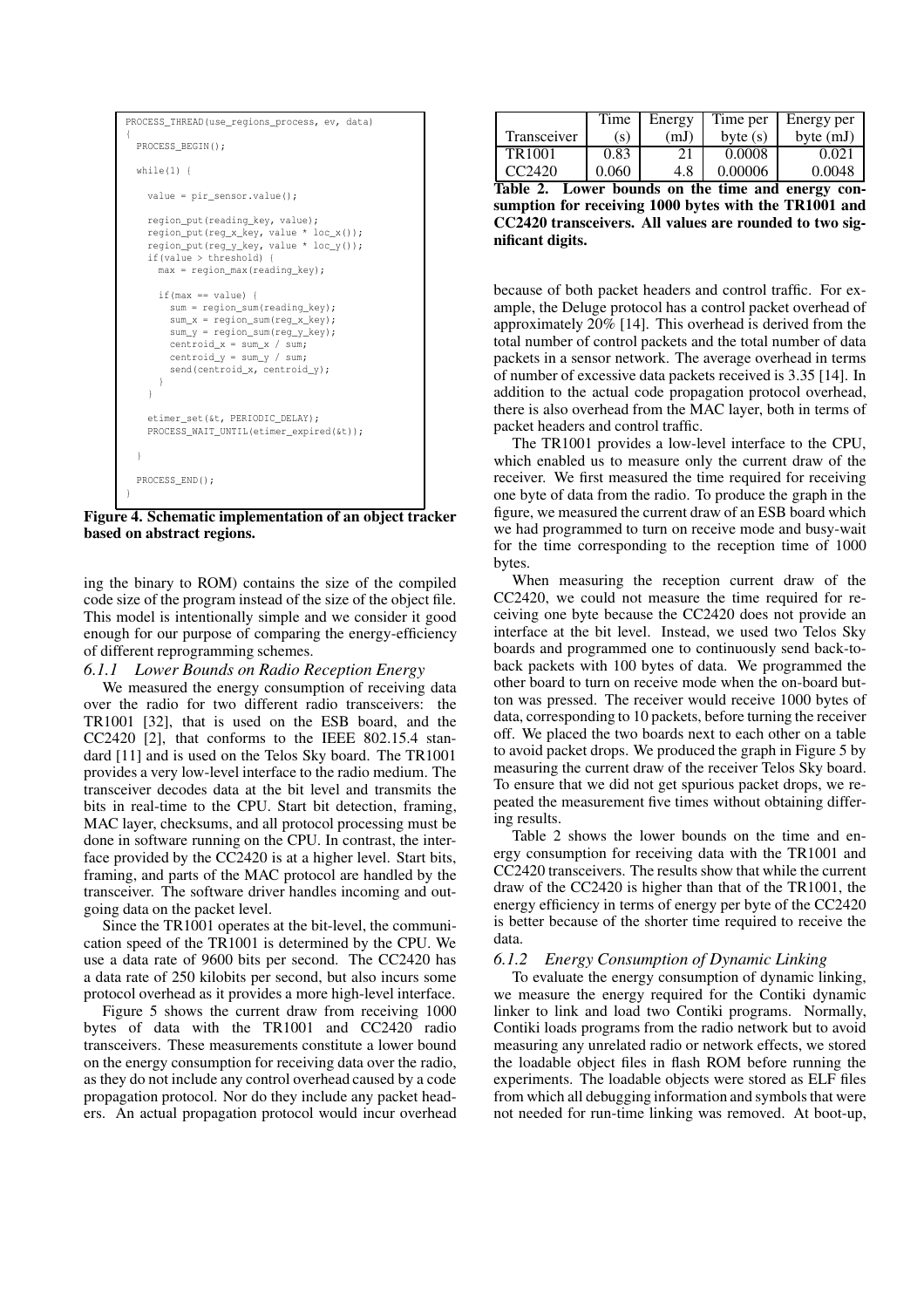```
PROCESS_THREAD(use_regions_process, ev, data)
{
  PROCESS_BEGIN();
  while(1) {
    value = pir_sensor.value();
    region_put(reading_key, value);
    region_put(reg_x_key, value * loc_x());
    region_put(reg_y_key, value * loc_y());
if(value > threshold) {
      max = region_max(reading_key);
      if(max == value) {
        sum = region_sum(reading_key);
        sum x = region_sum(reg_x_key);
        sum_y = region\_sum(req_y\_key);
        centroid_x = sum_x / sum;centroid_y = sum_y / sum;send(centroid_x, centroid_y);
      }
    }
    etimer_set(&t, PERIODIC_DELAY);
    PROCESS_WAIT_UNTIL(etimer_expired(&t));
  }
  PROCESS_END();
}
```
**Figure 4. Schematic implementation of an object tracker based on abstract regions.**

ing the binary to ROM) contains the size of the compiled code size of the program instead of the size of the object file. This model is intentionally simple and we consider it good enough for our purpose of comparing the energy-efficiency of different reprogramming schemes.

### *6.1.1 Lower Bounds on Radio Reception Energy*

We measured the energy consumption of receiving data over the radio for two different radio transceivers: the TR1001 [32], that is used on the ESB board, and the CC2420 [2], that conforms to the IEEE 802.15.4 standard [11] and is used on the Telos Sky board. The TR1001 provides a very low-level interface to the radio medium. The transceiver decodes data at the bit level and transmits the bits in real-time to the CPU. Start bit detection, framing, MAC layer, checksums, and all protocol processing must be done in software running on the CPU. In contrast, the interface provided by the CC2420 is at a higher level. Start bits, framing, and parts of the MAC protocol are handled by the transceiver. The software driver handles incoming and outgoing data on the packet level.

Since the TR1001 operates at the bit-level, the communication speed of the TR1001 is determined by the CPU. We use a data rate of 9600 bits per second. The CC2420 has a data rate of 250 kilobits per second, but also incurs some protocol overhead as it provides a more high-level interface.

Figure 5 shows the current draw from receiving 1000 bytes of data with the TR1001 and CC2420 radio transceivers. These measurements constitute a lower bound on the energy consumption for receiving data over the radio, as they do not include any control overhead caused by a code propagation protocol. Nor do they include any packet headers. An actual propagation protocol would incur overhead

|                    | Time  | Energy | Time per   | Energy per  |
|--------------------|-------|--------|------------|-------------|
| Transceiver        | (s)   | (mJ)   | byte $(s)$ | byte $(mJ)$ |
| TR <sub>1001</sub> | 0.83  | 21     | 0.0008     | 0.021       |
| CC <sub>2420</sub> | 0.060 | 4.8    | 0.00006    | 0.0048      |

**Table 2. Lower bounds on the time and energy consumption for receiving 1000 bytes with the TR1001 and CC2420 transceivers. All values are rounded to two significant digits.**

because of both packet headers and control traffic. For example, the Deluge protocol has a control packet overhead of approximately 20% [14]. This overhead is derived from the total number of control packets and the total number of data packets in a sensor network. The average overhead in terms of number of excessive data packets received is 3.35 [14]. In addition to the actual code propagation protocol overhead, there is also overhead from the MAC layer, both in terms of packet headers and control traffic.

The TR1001 provides a low-level interface to the CPU, which enabled us to measure only the current draw of the receiver. We first measured the time required for receiving one byte of data from the radio. To produce the graph in the figure, we measured the current draw of an ESB board which we had programmed to turn on receive mode and busy-wait for the time corresponding to the reception time of 1000 bytes.

When measuring the reception current draw of the CC2420, we could not measure the time required for receiving one byte because the CC2420 does not provide an interface at the bit level. Instead, we used two Telos Sky boards and programmed one to continuously send back-toback packets with 100 bytes of data. We programmed the other board to turn on receive mode when the on-board button was pressed. The receiver would receive 1000 bytes of data, corresponding to 10 packets, before turning the receiver off. We placed the two boards next to each other on a table to avoid packet drops. We produced the graph in Figure 5 by measuring the current draw of the receiver Telos Sky board. To ensure that we did not get spurious packet drops, we repeated the measurement five times without obtaining differing results.

Table 2 shows the lower bounds on the time and energy consumption for receiving data with the TR1001 and CC2420 transceivers. The results show that while the current draw of the CC2420 is higher than that of the TR1001, the energy efficiency in terms of energy per byte of the CC2420 is better because of the shorter time required to receive the data.

# *6.1.2 Energy Consumption of Dynamic Linking*

To evaluate the energy consumption of dynamic linking, we measure the energy required for the Contiki dynamic linker to link and load two Contiki programs. Normally, Contiki loads programs from the radio network but to avoid measuring any unrelated radio or network effects, we stored the loadable object files in flash ROM before running the experiments. The loadable objects were stored as ELF files from which all debugging information and symbols that were not needed for run-time linking was removed. At boot-up,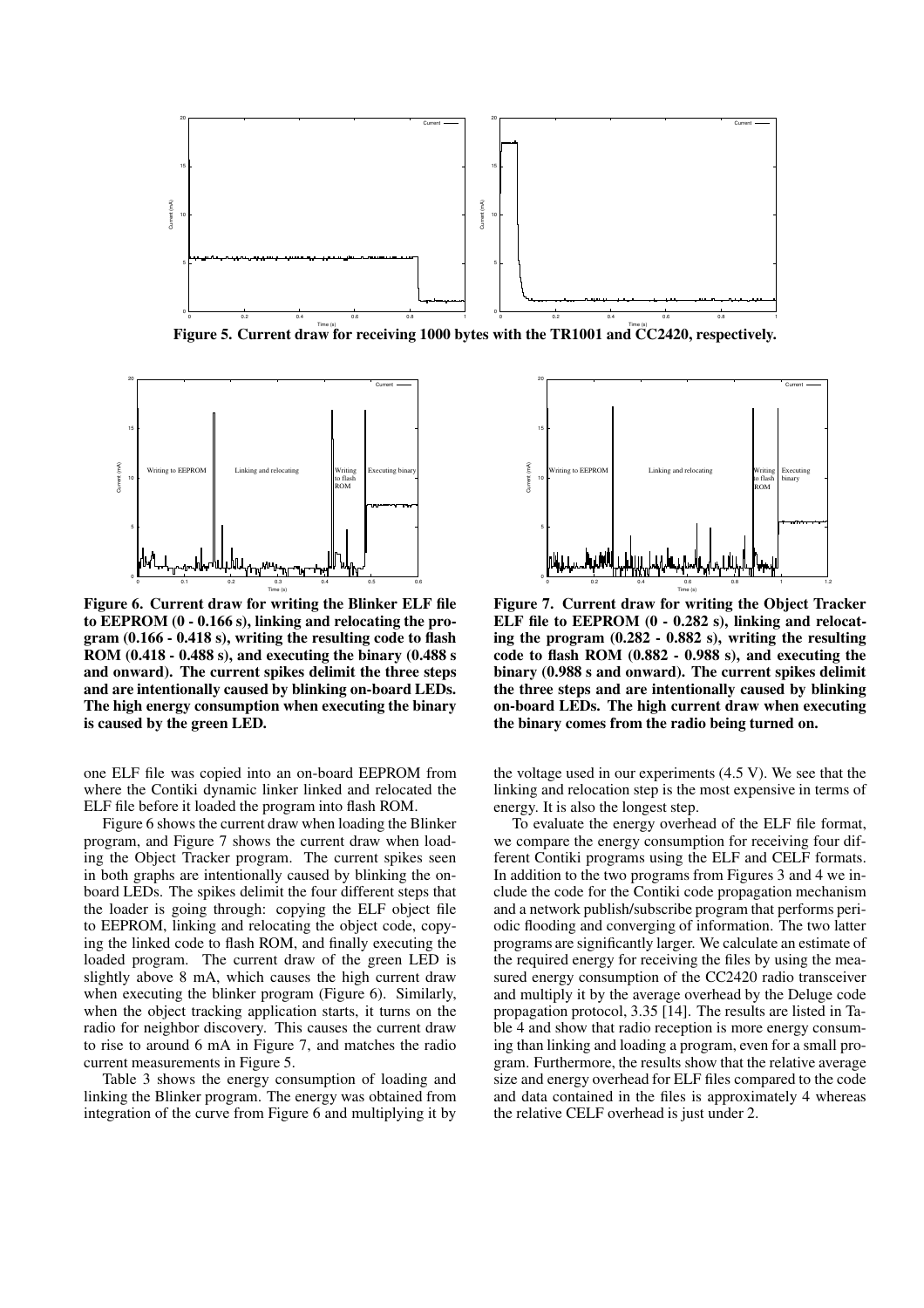

Time (s) Time (s) **Figure 5. Current draw for receiving 1000 bytes with the TR1001 and CC2420, respectively.**



**Figure 6. Current draw for writing the Blinker ELF file to EEPROM (0 - 0.166 s), linking and relocating the program (0.166 - 0.418 s), writing the resulting code to flash ROM (0.418 - 0.488 s), and executing the binary (0.488 s and onward). The current spikes delimit the three steps and are intentionally caused by blinking on-board LEDs. The high energy consumption when executing the binary is caused by the green LED.**

one ELF file was copied into an on-board EEPROM from where the Contiki dynamic linker linked and relocated the ELF file before it loaded the program into flash ROM.

Figure 6 shows the current draw when loading the Blinker program, and Figure 7 shows the current draw when loading the Object Tracker program. The current spikes seen in both graphs are intentionally caused by blinking the onboard LEDs. The spikes delimit the four different steps that the loader is going through: copying the ELF object file to EEPROM, linking and relocating the object code, copying the linked code to flash ROM, and finally executing the loaded program. The current draw of the green LED is slightly above 8 mA, which causes the high current draw when executing the blinker program (Figure 6). Similarly, when the object tracking application starts, it turns on the radio for neighbor discovery. This causes the current draw to rise to around 6 mA in Figure 7, and matches the radio current measurements in Figure 5.

Table 3 shows the energy consumption of loading and linking the Blinker program. The energy was obtained from integration of the curve from Figure 6 and multiplying it by



**Figure 7. Current draw for writing the Object Tracker ELF file to EEPROM (0 - 0.282 s), linking and relocating the program (0.282 - 0.882 s), writing the resulting code to flash ROM (0.882 - 0.988 s), and executing the binary (0.988 s and onward). The current spikes delimit the three steps and are intentionally caused by blinking on-board LEDs. The high current draw when executing the binary comes from the radio being turned on.**

the voltage used in our experiments (4.5 V). We see that the linking and relocation step is the most expensive in terms of energy. It is also the longest step.

To evaluate the energy overhead of the ELF file format, we compare the energy consumption for receiving four different Contiki programs using the ELF and CELF formats. In addition to the two programs from Figures 3 and 4 we include the code for the Contiki code propagation mechanism and a network publish/subscribe program that performs periodic flooding and converging of information. The two latter programs are significantly larger. We calculate an estimate of the required energy for receiving the files by using the measured energy consumption of the CC2420 radio transceiver and multiply it by the average overhead by the Deluge code propagation protocol, 3.35 [14]. The results are listed in Table 4 and show that radio reception is more energy consuming than linking and loading a program, even for a small program. Furthermore, the results show that the relative average size and energy overhead for ELF files compared to the code and data contained in the files is approximately 4 whereas the relative CELF overhead is just under 2.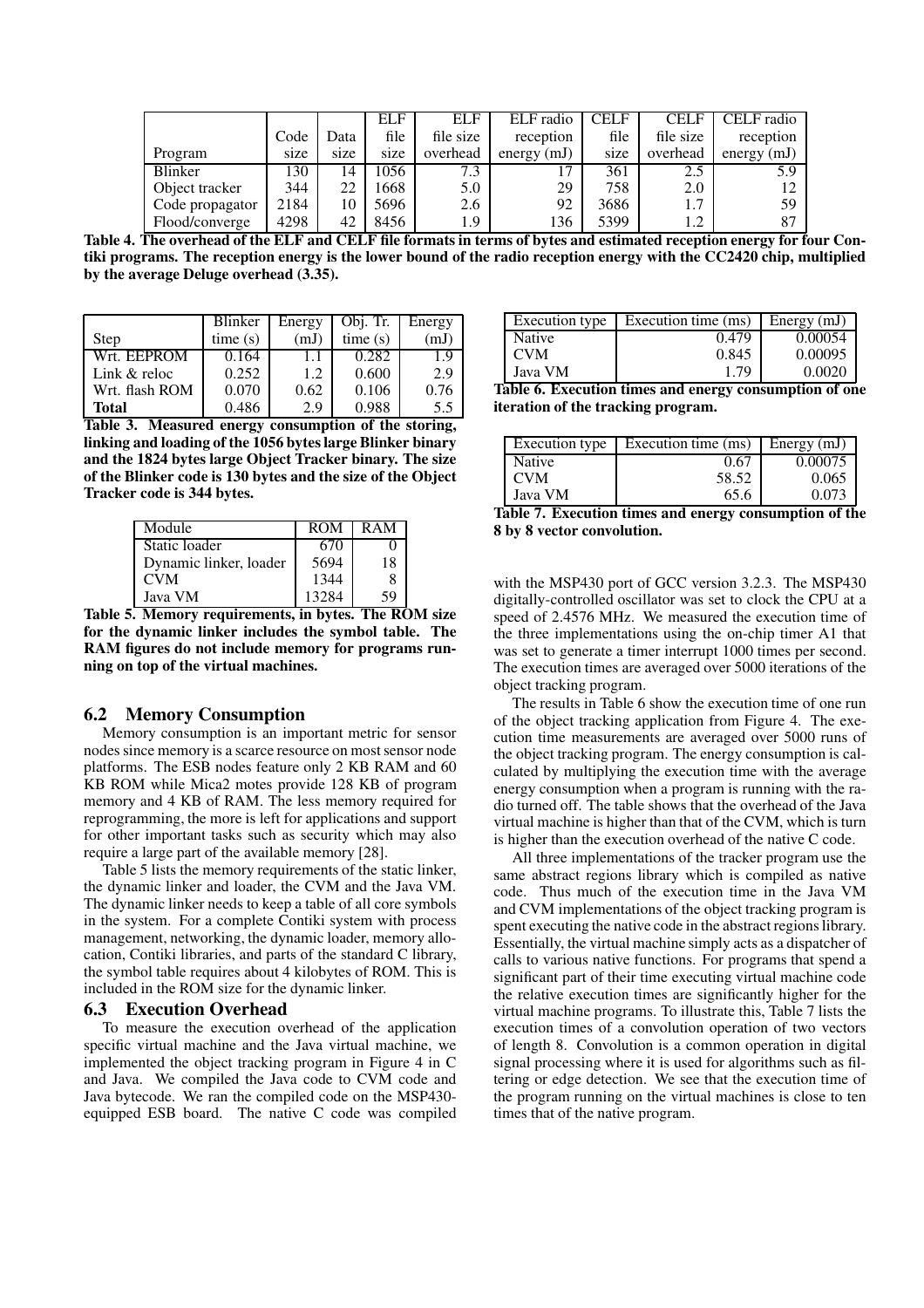|                 |      |      | <b>ELF</b> | ELF       | ELF radio     | <b>CELF</b> | <b>CELF</b> | CELF radio    |
|-----------------|------|------|------------|-----------|---------------|-------------|-------------|---------------|
|                 | Code | Data | file       | file size | reception     | file        | file size   | reception     |
| Program         | size | size | size       | overhead  | energy $(mJ)$ | size        | overhead    | energy $(mJ)$ |
| Blinker         | 130  | 14   | 1056       |           |               | 361         | 2.5         | 5.9           |
| Object tracker  | 344  | 22   | 668        | 5.0       | 29            | 758         | 2.0         |               |
| Code propagator | 2184 | 10   | 5696       | 2.6       | 92            | 3686        | 1.7         | 59            |
| Flood/converge  | 4298 | 42   | 8456       | 1.9       | 136           | 5399        | 1.2         |               |

Table 4. The overhead of the ELF and CELF file formats in terms of bytes and estimated reception energy for four Contiki programs. The reception energy is the lower bound of the radio reception energy with the CC2420 chip, multiplied **by the average Deluge overhead (3.35).**

|                | Blinker | Energy | Obj. Tr. | Energy |
|----------------|---------|--------|----------|--------|
| Step           | time(s) | (mJ)   | time(s)  | (mJ)   |
| Wrt. EEPROM    | 0.164   | 1.1    | 0.282    | 19     |
| Link $&$ reloc | 0.252   | 1.2    | 0.600    | 2.9    |
| Wrt. flash ROM | 0.070   | 0.62   | 0.106    | 0.76   |
| <b>Total</b>   | 0.486   | 2.9    | 0.988    | 5.5    |

**Table 3. Measured energy consumption of the storing, linking and loading of the 1056 byteslarge Blinker binary and the 1824 bytes large Object Tracker binary. The size of the Blinker code is 130 bytes and the size of the Object Tracker code is 344 bytes.**

| Module                 | ROM-  | <b>RAM</b> |
|------------------------|-------|------------|
| Static loader          | 670   |            |
| Dynamic linker, loader | 5694  | 18         |
| <b>CVM</b>             | 1344  |            |
| Java VM                | 13284 | 59         |

**Table 5. Memory requirements, in bytes. The ROM size for the dynamic linker includes the symbol table. The RAM figures do not include memory for programs running on top of the virtual machines.**

## **6.2 Memory Consumption**

Memory consumption is an important metric for sensor nodes since memory is a scarce resource on most sensor node platforms. The ESB nodes feature only 2 KB RAM and 60 KB ROM while Mica2 motes provide 128 KB of program memory and 4 KB of RAM. The less memory required for reprogramming, the more is left for applications and support for other important tasks such as security which may also require a large part of the available memory [28].

Table 5 lists the memory requirements of the static linker, the dynamic linker and loader, the CVM and the Java VM. The dynamic linker needs to keep a table of all core symbols in the system. For a complete Contiki system with process management, networking, the dynamic loader, memory allocation, Contiki libraries, and parts of the standard C library, the symbol table requires about 4 kilobytes of ROM. This is included in the ROM size for the dynamic linker.

#### **6.3 Execution Overhead**

To measure the execution overhead of the application specific virtual machine and the Java virtual machine, we implemented the object tracking program in Figure 4 in C and Java. We compiled the Java code to CVM code and Java bytecode. We ran the compiled code on the MSP430 equipped ESB board. The native C code was compiled

| Execution type                                               | Execution time (ms) | Energy $(mJ)$ |  |  |
|--------------------------------------------------------------|---------------------|---------------|--|--|
| Native                                                       | 0.479               | 0.00054       |  |  |
| <b>CVM</b>                                                   | 0.845               | 0.00095       |  |  |
| Java VM                                                      | 1.79                | 0.0020        |  |  |
| <u>lahla 6. Evecution times and energy consumption of on</u> |                     |               |  |  |

**Table 6. Execution times and energy consumption of one iteration of the tracking program.**

| Execution type | Execution time (ms) | Energy $(mJ)$ |
|----------------|---------------------|---------------|
| <b>Native</b>  | 0.67                | 0.00075       |
| <b>CVM</b>     | 58.52               | 0.065         |
| Java VM        | 65.6                | 0.073         |

**Table 7. Execution times and energy consumption of the 8 by 8 vector convolution.**

with the MSP430 port of GCC version 3.2.3. The MSP430 digitally-controlled oscillator was set to clock the CPU at a speed of 2.4576 MHz. We measured the execution time of the three implementations using the on-chip timer A1 that was set to generate a timer interrupt 1000 times per second. The execution times are averaged over 5000 iterations of the object tracking program.

The results in Table 6 show the execution time of one run of the object tracking application from Figure 4. The execution time measurements are averaged over 5000 runs of the object tracking program. The energy consumption is calculated by multiplying the execution time with the average energy consumption when a program is running with the radio turned off. The table shows that the overhead of the Java virtual machine is higher than that of the CVM, which is turn is higher than the execution overhead of the native C code.

All three implementations of the tracker program use the same abstract regions library which is compiled as native code. Thus much of the execution time in the Java VM and CVM implementations of the object tracking program is spent executing the native code in the abstract regions library. Essentially, the virtual machine simply acts as a dispatcher of calls to various native functions. For programs that spend a significant part of their time executing virtual machine code the relative execution times are significantly higher for the virtual machine programs. To illustrate this, Table 7 lists the execution times of a convolution operation of two vectors of length 8. Convolution is a common operation in digital signal processing where it is used for algorithms such as filtering or edge detection. We see that the execution time of the program running on the virtual machines is close to ten times that of the native program.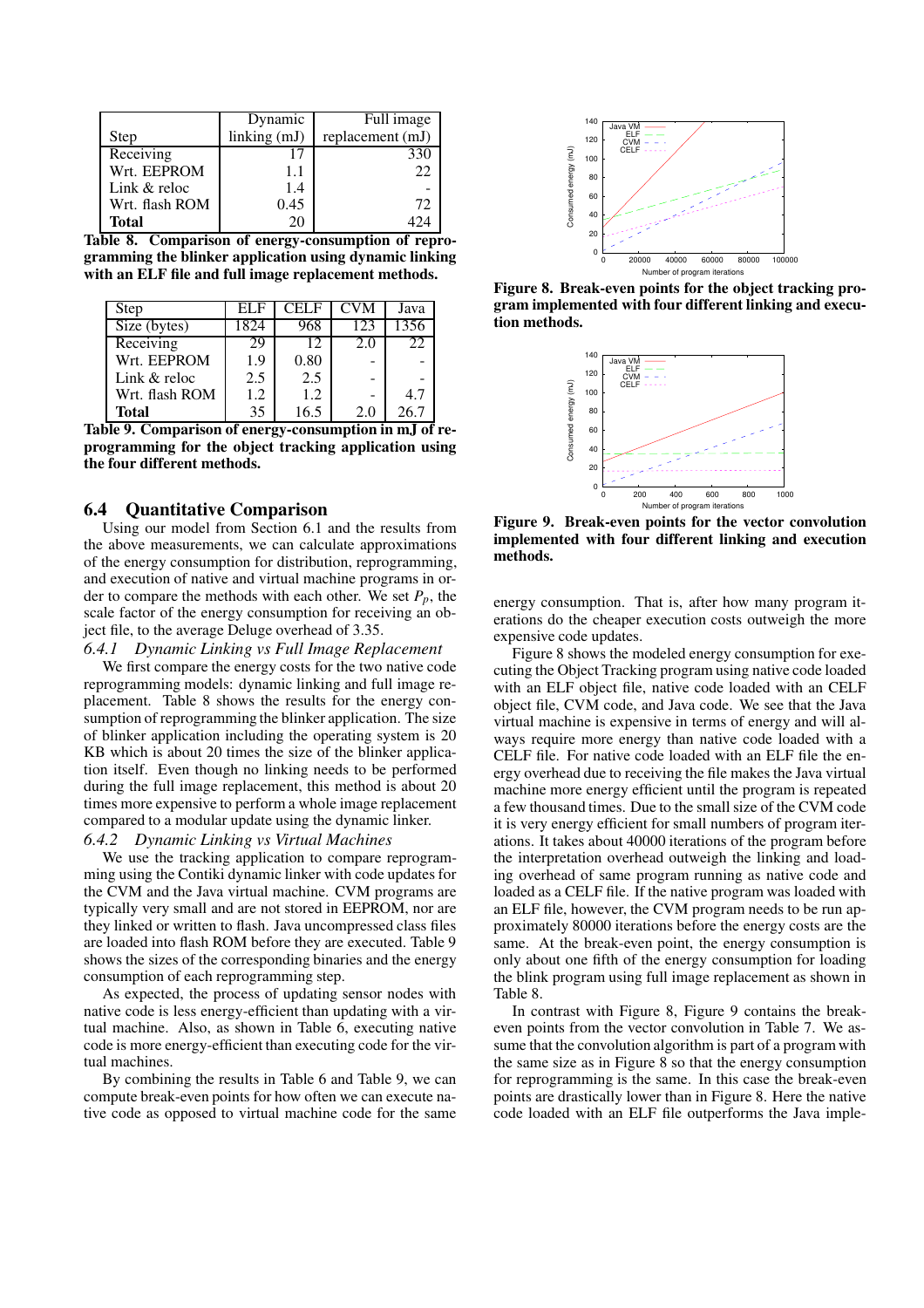|                | Dynamic      | Full image       |
|----------------|--------------|------------------|
| Step           | linking (mJ) | replacement (mJ) |
| Receiving      |              | 330              |
| Wrt. EEPROM    | 1.1          | 22               |
| Link & reloc   | 1.4          |                  |
| Wrt. flash ROM | 0.45         | 72.              |
| Total          | 20           |                  |

**Table 8. Comparison of energy-consumption of reprogramming the blinker application using dynamic linking with an ELF file and full image replacement methods.**

| Step           |      | ^EL F | <b>CVM</b> | Java |
|----------------|------|-------|------------|------|
| Size (bytes)   | 1824 | 968   | 123        | 1356 |
| Receiving      | 29   | 12    | 2.0        | 22   |
| Wrt. EEPROM    | 1.9  | 0.80  |            |      |
| Link & reloc   | 2.5  | 2.5   |            |      |
| Wrt. flash ROM | 1.2  | 1.2   |            | 4.7  |
| Total          | 35   | 16.5  | 2.0        | 26.7 |

**Table 9. Comparison of energy-consumption in mJ of reprogramming for the object tracking application using the four different methods.**

## **6.4 Quantitative Comparison**

Using our model from Section 6.1 and the results from the above measurements, we can calculate approximations of the energy consumption for distribution, reprogramming, and execution of native and virtual machine programs in order to compare the methods with each other. We set  $P_p$ , the scale factor of the energy consumption for receiving an object file, to the average Deluge overhead of 3.35.

# *6.4.1 Dynamic Linking vs Full Image Replacement*

We first compare the energy costs for the two native code reprogramming models: dynamic linking and full image replacement. Table 8 shows the results for the energy consumption of reprogramming the blinker application. The size of blinker application including the operating system is 20 KB which is about 20 times the size of the blinker application itself. Even though no linking needs to be performed during the full image replacement, this method is about 20 times more expensive to perform a whole image replacement compared to a modular update using the dynamic linker.

# *6.4.2 Dynamic Linking vs Virtual Machines*

We use the tracking application to compare reprogramming using the Contiki dynamic linker with code updates for the CVM and the Java virtual machine. CVM programs are typically very small and are not stored in EEPROM, nor are they linked or written to flash. Java uncompressed class files are loaded into flash ROM before they are executed. Table 9 shows the sizes of the corresponding binaries and the energy consumption of each reprogramming step.

As expected, the process of updating sensor nodes with native code is less energy-efficient than updating with a virtual machine. Also, as shown in Table 6, executing native code is more energy-efficient than executing code for the virtual machines.

By combining the results in Table 6 and Table 9, we can compute break-even points for how often we can execute native code as opposed to virtual machine code for the same



**Figure 8. Break-even points for the object tracking program implemented with four different linking and execution methods.**



**Figure 9. Break-even points for the vector convolution implemented with four different linking and execution methods.**

energy consumption. That is, after how many program iterations do the cheaper execution costs outweigh the more expensive code updates.

Figure 8 shows the modeled energy consumption for executing the Object Tracking program using native code loaded with an ELF object file, native code loaded with an CELF object file, CVM code, and Java code. We see that the Java virtual machine is expensive in terms of energy and will always require more energy than native code loaded with a CELF file. For native code loaded with an ELF file the energy overhead due to receiving the file makes the Java virtual machine more energy efficient until the program is repeated a few thousand times. Due to the small size of the CVM code it is very energy efficient for small numbers of program iterations. It takes about 40000 iterations of the program before the interpretation overhead outweigh the linking and loading overhead of same program running as native code and loaded as a CELF file. If the native program was loaded with an ELF file, however, the CVM program needs to be run approximately 80000 iterations before the energy costs are the same. At the break-even point, the energy consumption is only about one fifth of the energy consumption for loading the blink program using full image replacement as shown in Table 8.

In contrast with Figure 8, Figure 9 contains the breakeven points from the vector convolution in Table 7. We assume that the convolution algorithm is part of a program with the same size as in Figure 8 so that the energy consumption for reprogramming is the same. In this case the break-even points are drastically lower than in Figure 8. Here the native code loaded with an ELF file outperforms the Java imple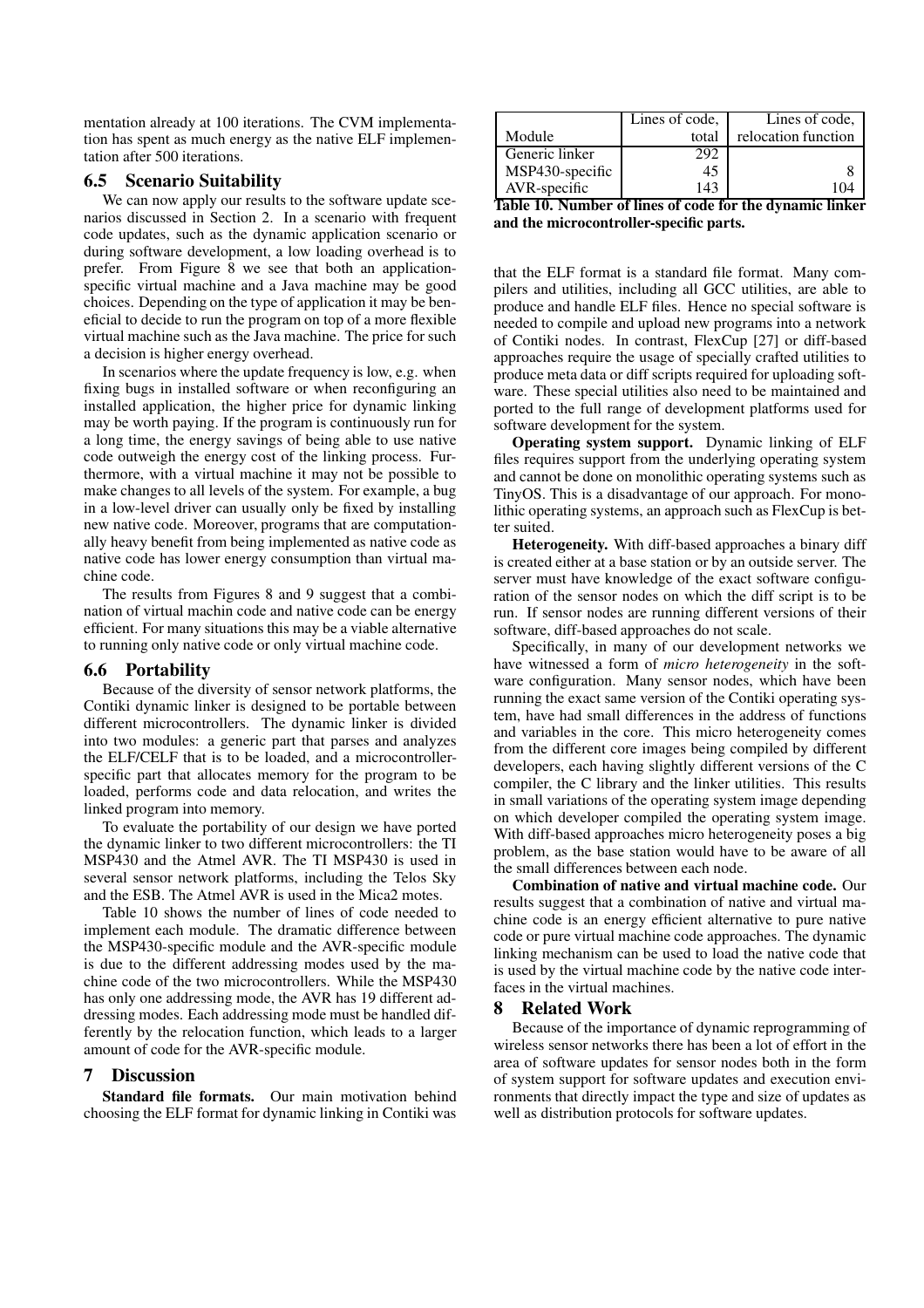mentation already at 100 iterations. The CVM implementation has spent as much energy as the native ELF implementation after 500 iterations.

## **6.5 Scenario Suitability**

We can now apply our results to the software update scenarios discussed in Section 2. In a scenario with frequent code updates, such as the dynamic application scenario or during software development, a low loading overhead is to prefer. From Figure 8 we see that both an applicationspecific virtual machine and a Java machine may be good choices. Depending on the type of application it may be beneficial to decide to run the program on top of a more flexible virtual machine such as the Java machine. The price for such a decision is higher energy overhead.

In scenarios where the update frequency is low, e.g. when fixing bugs in installed software or when reconfiguring an installed application, the higher price for dynamic linking may be worth paying. If the program is continuously run for a long time, the energy savings of being able to use native code outweigh the energy cost of the linking process. Furthermore, with a virtual machine it may not be possible to make changes to all levels of the system. For example, a bug in a low-level driver can usually only be fixed by installing new native code. Moreover, programs that are computationally heavy benefit from being implemented as native code as native code has lower energy consumption than virtual machine code.

The results from Figures 8 and 9 suggest that a combination of virtual machin code and native code can be energy efficient. For many situations this may be a viable alternative to running only native code or only virtual machine code.

## **6.6 Portability**

Because of the diversity of sensor network platforms, the Contiki dynamic linker is designed to be portable between different microcontrollers. The dynamic linker is divided into two modules: a generic part that parses and analyzes the ELF/CELF that is to be loaded, and a microcontrollerspecific part that allocates memory for the program to be loaded, performs code and data relocation, and writes the linked program into memory.

To evaluate the portability of our design we have ported the dynamic linker to two different microcontrollers: the TI MSP430 and the Atmel AVR. The TI MSP430 is used in several sensor network platforms, including the Telos Sky and the ESB. The Atmel AVR is used in the Mica2 motes.

Table 10 shows the number of lines of code needed to implement each module. The dramatic difference between the MSP430-specific module and the AVR-specific module is due to the different addressing modes used by the machine code of the two microcontrollers. While the MSP430 has only one addressing mode, the AVR has 19 different addressing modes. Each addressing mode must be handled differently by the relocation function, which leads to a larger amount of code for the AVR-specific module.

# **7 Discussion**

**Standard file formats.** Our main motivation behind choosing the ELF format for dynamic linking in Contiki was

|                                                         | Lines of code, | Lines of code.      |  |  |
|---------------------------------------------------------|----------------|---------------------|--|--|
| Module                                                  | total          | relocation function |  |  |
| Generic linker                                          | 292            |                     |  |  |
| MSP430-specific                                         | 45             |                     |  |  |
| AVR-specific                                            | 143            | 104                 |  |  |
| Toble 10 Number of lines of eade for the dynamic linker |                |                     |  |  |

**Table 10. Number of lines of code for the dynamic linker and the microcontroller-specific parts.**

that the ELF format is a standard file format. Many compilers and utilities, including all GCC utilities, are able to produce and handle ELF files. Hence no special software is needed to compile and upload new programs into a network of Contiki nodes. In contrast, FlexCup [27] or diff-based approaches require the usage of specially crafted utilities to produce meta data or diff scripts required for uploading software. These special utilities also need to be maintained and ported to the full range of development platforms used for software development for the system.

**Operating system support.** Dynamic linking of ELF files requires support from the underlying operating system and cannot be done on monolithic operating systems such as TinyOS. This is a disadvantage of our approach. For monolithic operating systems, an approach such as FlexCup is better suited.

**Heterogeneity.** With diff-based approaches a binary diff is created either at a base station or by an outside server. The server must have knowledge of the exact software configuration of the sensor nodes on which the diff script is to be run. If sensor nodes are running different versions of their software, diff-based approaches do not scale.

Specifically, in many of our development networks we have witnessed a form of *micro heterogeneity* in the software configuration. Many sensor nodes, which have been running the exact same version of the Contiki operating system, have had small differences in the address of functions and variables in the core. This micro heterogeneity comes from the different core images being compiled by different developers, each having slightly different versions of the C compiler, the C library and the linker utilities. This results in small variations of the operating system image depending on which developer compiled the operating system image. With diff-based approaches micro heterogeneity poses a big problem, as the base station would have to be aware of all the small differences between each node.

**Combination of native and virtual machine code.** Our results suggest that a combination of native and virtual machine code is an energy efficient alternative to pure native code or pure virtual machine code approaches. The dynamic linking mechanism can be used to load the native code that is used by the virtual machine code by the native code interfaces in the virtual machines.

# **8 Related Work**

Because of the importance of dynamic reprogramming of wireless sensor networks there has been a lot of effort in the area of software updates for sensor nodes both in the form of system support for software updates and execution environments that directly impact the type and size of updates as well as distribution protocols for software updates.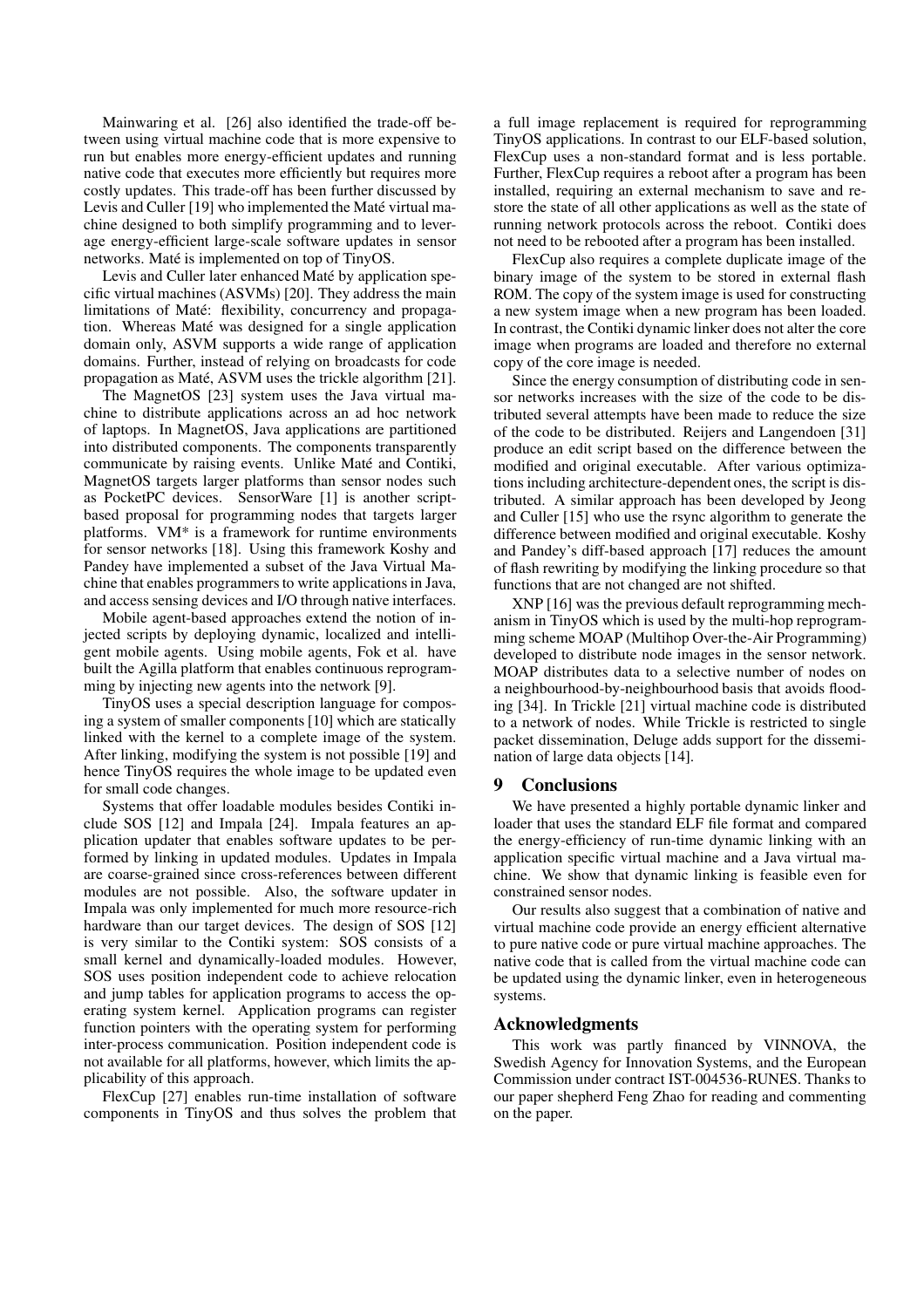Mainwaring et al. [26] also identified the trade-off between using virtual machine code that is more expensive to run but enables more energy-efficient updates and running native code that executes more efficiently but requires more costly updates. This trade-off has been further discussed by Levis and Culler [19] who implemented the Maté virtual machine designed to both simplify programming and to leverage energy-efficient large-scale software updates in sensor networks. Maté is implemented on top of TinyOS.

Levis and Culler later enhanced Maté by application specific virtual machines (ASVMs) [20]. They address the main limitations of Maté: flexibility, concurrency and propagation. Whereas Maté was designed for a single application domain only, ASVM supports a wide range of application domains. Further, instead of relying on broadcasts for code propagation as Maté, ASVM uses the trickle algorithm [21].

The MagnetOS [23] system uses the Java virtual machine to distribute applications across an ad hoc network of laptops. In MagnetOS, Java applications are partitioned into distributed components. The components transparently communicate by raising events. Unlike Maté and Contiki, MagnetOS targets larger platforms than sensor nodes such as PocketPC devices. SensorWare [1] is another scriptbased proposal for programming nodes that targets larger platforms. VM\* is a framework for runtime environments for sensor networks [18]. Using this framework Koshy and Pandey have implemented a subset of the Java Virtual Machine that enables programmers to write applications in Java, and access sensing devices and I/O through native interfaces.

Mobile agent-based approaches extend the notion of injected scripts by deploying dynamic, localized and intelligent mobile agents. Using mobile agents, Fok et al. have built the Agilla platform that enables continuous reprogramming by injecting new agents into the network [9].

TinyOS uses a special description language for composing a system of smaller components [10] which are statically linked with the kernel to a complete image of the system. After linking, modifying the system is not possible [19] and hence TinyOS requires the whole image to be updated even for small code changes.

Systems that offer loadable modules besides Contiki include SOS [12] and Impala [24]. Impala features an application updater that enables software updates to be performed by linking in updated modules. Updates in Impala are coarse-grained since cross-references between different modules are not possible. Also, the software updater in Impala was only implemented for much more resource-rich hardware than our target devices. The design of SOS [12] is very similar to the Contiki system: SOS consists of a small kernel and dynamically-loaded modules. However, SOS uses position independent code to achieve relocation and jump tables for application programs to access the operating system kernel. Application programs can register function pointers with the operating system for performing inter-process communication. Position independent code is not available for all platforms, however, which limits the applicability of this approach.

FlexCup [27] enables run-time installation of software components in TinyOS and thus solves the problem that a full image replacement is required for reprogramming TinyOS applications. In contrast to our ELF-based solution, FlexCup uses a non-standard format and is less portable. Further, FlexCup requires a reboot after a program has been installed, requiring an external mechanism to save and restore the state of all other applications as well as the state of running network protocols across the reboot. Contiki does not need to be rebooted after a program has been installed.

FlexCup also requires a complete duplicate image of the binary image of the system to be stored in external flash ROM. The copy of the system image is used for constructing a new system image when a new program has been loaded. In contrast, the Contiki dynamic linker does not alter the core image when programs are loaded and therefore no external copy of the core image is needed.

Since the energy consumption of distributing code in sensor networks increases with the size of the code to be distributed several attempts have been made to reduce the size of the code to be distributed. Reijers and Langendoen [31] produce an edit script based on the difference between the modified and original executable. After various optimizations including architecture-dependent ones, the script is distributed. A similar approach has been developed by Jeong and Culler [15] who use the rsync algorithm to generate the difference between modified and original executable. Koshy and Pandey's diff-based approach [17] reduces the amount of flash rewriting by modifying the linking procedure so that functions that are not changed are not shifted.

XNP [16] was the previous default reprogramming mechanism in TinyOS which is used by the multi-hop reprogramming scheme MOAP (Multihop Over-the-Air Programming) developed to distribute node images in the sensor network. MOAP distributes data to a selective number of nodes on a neighbourhood-by-neighbourhood basis that avoids flooding [34]. In Trickle [21] virtual machine code is distributed to a network of nodes. While Trickle is restricted to single packet dissemination, Deluge adds support for the dissemination of large data objects [14].

# **9 Conclusions**

We have presented a highly portable dynamic linker and loader that uses the standard ELF file format and compared the energy-efficiency of run-time dynamic linking with an application specific virtual machine and a Java virtual machine. We show that dynamic linking is feasible even for constrained sensor nodes.

Our results also suggest that a combination of native and virtual machine code provide an energy efficient alternative to pure native code or pure virtual machine approaches. The native code that is called from the virtual machine code can be updated using the dynamic linker, even in heterogeneous systems.

### **Acknowledgments**

This work was partly financed by VINNOVA, the Swedish Agency for Innovation Systems, and the European Commission under contract IST-004536-RUNES. Thanks to our paper shepherd Feng Zhao for reading and commenting on the paper.